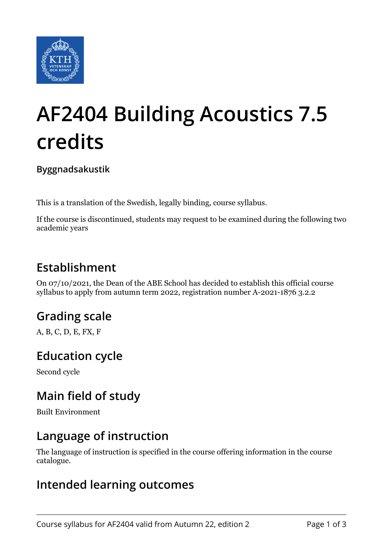

# **AF2404 Building Acoustics 7.5 credits**

**Byggnadsakustik**

This is a translation of the Swedish, legally binding, course syllabus.

If the course is discontinued, students may request to be examined during the following two academic years

## **Establishment**

On 07/10/2021, the Dean of the ABE School has decided to establish this official course syllabus to apply from autumn term 2022, registration number A-2021-1876 3.2.2

# **Grading scale**

A, B, C, D, E, FX, F

#### **Education cycle**

Second cycle

## **Main field of study**

Built Environment

#### **Language of instruction**

The language of instruction is specified in the course offering information in the course catalogue.

#### **Intended learning outcomes**